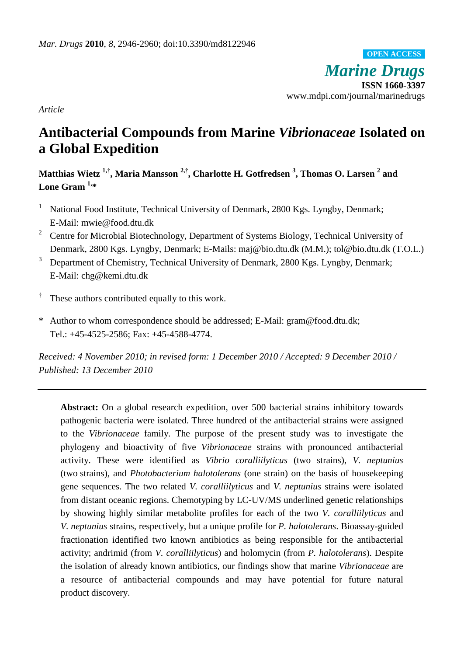*Marine Drugs* **ISSN 1660-3397** www.mdpi.com/journal/marinedrugs **OPEN ACCESS**

*Article*

# **Antibacterial Compounds from Marine** *Vibrionaceae* **Isolated on a Global Expedition**

**Matthias Wietz 1,† , Maria Mansson 2,† , Charlotte H. Gotfredsen <sup>3</sup> , Thomas O. Larsen <sup>2</sup> and Lone Gram 1, \***

- <sup>1</sup> National Food Institute, Technical University of Denmark, 2800 Kgs. Lyngby, Denmark; E-Mail: mwie@food.dtu.dk
- <sup>2</sup> Centre for Microbial Biotechnology, Department of Systems Biology, Technical University of Denmark, 2800 Kgs. Lyngby, Denmark; E-Mails: maj@bio.dtu.dk (M.M.); tol@bio.dtu.dk (T.O.L.)
- <sup>3</sup> Department of Chemistry, Technical University of Denmark, 2800 Kgs. Lyngby, Denmark; E-Mail: chg@kemi.dtu.dk
- † These authors contributed equally to this work.
- \* Author to whom correspondence should be addressed; E-Mail: gram@food.dtu.dk; Tel.: +45-4525-2586; Fax: +45-4588-4774.

*Received: 4 November 2010; in revised form: 1 December 2010 / Accepted: 9 December 2010 / Published: 13 December 2010* 

**Abstract:** On a global research expedition, over 500 bacterial strains inhibitory towards pathogenic bacteria were isolated. Three hundred of the antibacterial strains were assigned to the *Vibrionaceae* family. The purpose of the present study was to investigate the phylogeny and bioactivity of five *Vibrionaceae* strains with pronounced antibacterial activity. These were identified as *Vibrio coralliilyticus* (two strains), *V. neptunius* (two strains), and *Photobacterium halotolerans* (one strain) on the basis of housekeeping gene sequences. The two related *V. coralliilyticus* and *V. neptunius* strains were isolated from distant oceanic regions. Chemotyping by LC-UV/MS underlined genetic relationships by showing highly similar metabolite profiles for each of the two *V. coralliilyticus* and *V. neptunius* strains, respectively, but a unique profile for *P. halotolerans*. Bioassay-guided fractionation identified two known antibiotics as being responsible for the antibacterial activity; andrimid (from *V. coralliilyticus*) and holomycin (from *P. halotolerans*). Despite the isolation of already known antibiotics, our findings show that marine *Vibrionaceae* are a resource of antibacterial compounds and may have potential for future natural product discovery.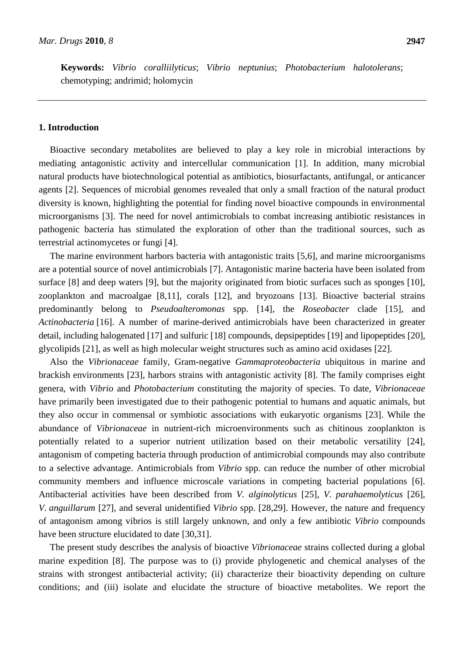**Keywords:** *Vibrio coralliilyticus*; *Vibrio neptunius*; *Photobacterium halotolerans*; chemotyping; andrimid; holomycin

# **1. Introduction**

Bioactive secondary metabolites are believed to play a key role in microbial interactions by mediating antagonistic activity and intercellular communication [1]. In addition, many microbial natural products have biotechnological potential as antibiotics, biosurfactants, antifungal, or anticancer agents [2]. Sequences of microbial genomes revealed that only a small fraction of the natural product diversity is known, highlighting the potential for finding novel bioactive compounds in environmental microorganisms [3]. The need for novel antimicrobials to combat increasing antibiotic resistances in pathogenic bacteria has stimulated the exploration of other than the traditional sources, such as terrestrial actinomycetes or fungi [4].

The marine environment harbors bacteria with antagonistic traits [5,6], and marine microorganisms are a potential source of novel antimicrobials [7]. Antagonistic marine bacteria have been isolated from surface [8] and deep waters [9], but the majority originated from biotic surfaces such as sponges [10], zooplankton and macroalgae [8,11], corals [12], and bryozoans [13]. Bioactive bacterial strains predominantly belong to *Pseudoalteromonas* spp. [14], the *Roseobacter* clade [15], and *Actinobacteria* [16]. A number of marine-derived antimicrobials have been characterized in greater detail, including halogenated [17] and sulfuric [18] compounds, depsipeptides [19] and lipopeptides [20], glycolipids [21], as well as high molecular weight structures such as amino acid oxidases [22].

Also the *Vibrionaceae* family, Gram-negative *Gammaproteobacteria* ubiquitous in marine and brackish environments [23], harbors strains with antagonistic activity [8]. The family comprises eight genera, with *Vibrio* and *Photobacterium* constituting the majority of species. To date, *Vibrionaceae* have primarily been investigated due to their pathogenic potential to humans and aquatic animals, but they also occur in commensal or symbiotic associations with eukaryotic organisms [23]. While the abundance of *Vibrionaceae* in nutrient-rich microenvironments such as chitinous zooplankton is potentially related to a superior nutrient utilization based on their metabolic versatility [24], antagonism of competing bacteria through production of antimicrobial compounds may also contribute to a selective advantage. Antimicrobials from *Vibrio* spp. can reduce the number of other microbial community members and influence microscale variations in competing bacterial populations [6]. Antibacterial activities have been described from *V. alginolyticus* [25], *V. parahaemolyticus* [26], *V. anguillarum* [27], and several unidentified *Vibrio* spp. [28,29]. However, the nature and frequency of antagonism among vibrios is still largely unknown, and only a few antibiotic *Vibrio* compounds have been structure elucidated to date [30,31].

The present study describes the analysis of bioactive *Vibrionaceae* strains collected during a global marine expedition [8]. The purpose was to (i) provide phylogenetic and chemical analyses of the strains with strongest antibacterial activity; (ii) characterize their bioactivity depending on culture conditions; and (iii) isolate and elucidate the structure of bioactive metabolites. We report the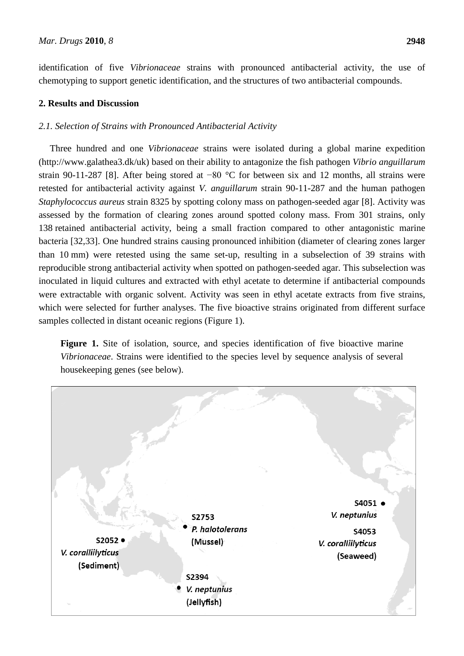identification of five *Vibrionaceae* strains with pronounced antibacterial activity, the use of chemotyping to support genetic identification, and the structures of two antibacterial compounds.

# **2. Results and Discussion**

# *2.1. Selection of Strains with Pronounced Antibacterial Activity*

Three hundred and one *Vibrionaceae* strains were isolated during a global marine expedition (http://www.galathea3.dk/uk) based on their ability to antagonize the fish pathogen *Vibrio anguillarum* strain 90-11-287 [8]. After being stored at −80 °C for between six and 12 months, all strains were retested for antibacterial activity against *V. anguillarum* strain 90-11-287 and the human pathogen *Staphylococcus aureus* strain 8325 by spotting colony mass on pathogen-seeded agar [8]. Activity was assessed by the formation of clearing zones around spotted colony mass. From 301 strains, only 138 retained antibacterial activity, being a small fraction compared to other antagonistic marine bacteria [32,33]. One hundred strains causing pronounced inhibition (diameter of clearing zones larger than 10 mm) were retested using the same set-up, resulting in a subselection of 39 strains with reproducible strong antibacterial activity when spotted on pathogen-seeded agar. This subselection was inoculated in liquid cultures and extracted with ethyl acetate to determine if antibacterial compounds were extractable with organic solvent. Activity was seen in ethyl acetate extracts from five strains, which were selected for further analyses. The five bioactive strains originated from different surface samples collected in distant oceanic regions (Figure 1).

**Figure 1.** Site of isolation, source, and species identification of five bioactive marine *Vibrionaceae*. Strains were identified to the species level by sequence analysis of several housekeeping genes (see below).

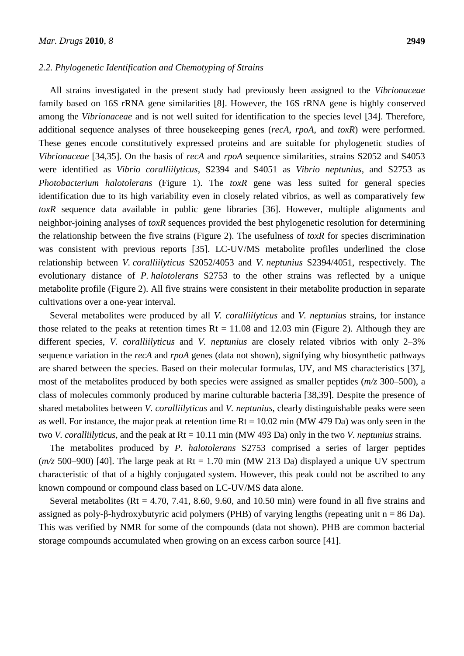## *2.2. Phylogenetic Identification and Chemotyping of Strains*

All strains investigated in the present study had previously been assigned to the *Vibrionaceae* family based on 16S rRNA gene similarities [8]. However, the 16S rRNA gene is highly conserved among the *Vibrionaceae* and is not well suited for identification to the species level [34]. Therefore, additional sequence analyses of three housekeeping genes (*recA*, *rpoA*, and *toxR*) were performed. These genes encode constitutively expressed proteins and are suitable for phylogenetic studies of *Vibrionaceae* [34,35]. On the basis of *recA* and *rpoA* sequence similarities, strains S2052 and S4053 were identified as *Vibrio coralliilyticus*, S2394 and S4051 as *Vibrio neptunius*, and S2753 as *Photobacterium halotolerans* (Figure 1). The *toxR* gene was less suited for general species identification due to its high variability even in closely related vibrios, as well as comparatively few *toxR* sequence data available in public gene libraries [36]. However, multiple alignments and neighbor-joining analyses of *toxR* sequences provided the best phylogenetic resolution for determining the relationship between the five strains (Figure 2). The usefulness of *toxR* for species discrimination was consistent with previous reports [35]. LC-UV/MS metabolite profiles underlined the close relationship between *V. coralliilyticus* S2052/4053 and *V. neptunius* S2394/4051, respectively. The evolutionary distance of *P. halotolerans* S2753 to the other strains was reflected by a unique metabolite profile (Figure 2). All five strains were consistent in their metabolite production in separate cultivations over a one-year interval.

Several metabolites were produced by all *V. coralliilyticus* and *V. neptunius* strains, for instance those related to the peaks at retention times  $Rt = 11.08$  and 12.03 min (Figure 2). Although they are different species, *V. coralliilyticus* and *V. neptunius* are closely related vibrios with only 2–3% sequence variation in the *recA* and *rpoA* genes (data not shown), signifying why biosynthetic pathways are shared between the species. Based on their molecular formulas, UV, and MS characteristics [37], most of the metabolites produced by both species were assigned as smaller peptides (*m/z* 300–500), a class of molecules commonly produced by marine culturable bacteria [38,39]. Despite the presence of shared metabolites between *V. coralliilyticus* and *V. neptunius*, clearly distinguishable peaks were seen as well. For instance, the major peak at retention time  $Rt = 10.02$  min (MW 479 Da) was only seen in the two *V. coralliilyticus*, and the peak at Rt = 10.11 min (MW 493 Da) only in the two *V. neptunius* strains.

The metabolites produced by *P. halotolerans* S2753 comprised a series of larger peptides  $(m/z, 500-900)$  [40]. The large peak at Rt = 1.70 min (MW 213 Da) displayed a unique UV spectrum characteristic of that of a highly conjugated system. However, this peak could not be ascribed to any known compound or compound class based on LC-UV/MS data alone.

Several metabolites ( $Rt = 4.70, 7.41, 8.60, 9.60,$  and  $10.50$  min) were found in all five strains and assigned as poly-β-hydroxybutyric acid polymers (PHB) of varying lengths (repeating unit  $n = 86$  Da). This was verified by NMR for some of the compounds (data not shown). PHB are common bacterial storage compounds accumulated when growing on an excess carbon source [41].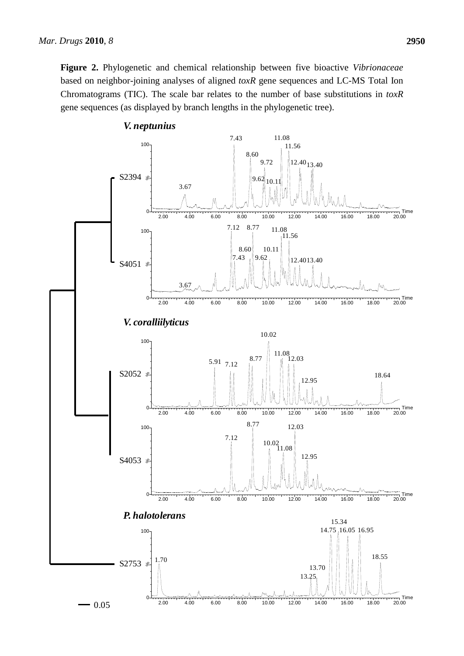**Figure 2.** Phylogenetic and chemical relationship between five bioactive *Vibrionaceae* based on neighbor-joining analyses of aligned *toxR* gene sequences and LC-MS Total Ion Chromatograms (TIC). The scale bar relates to the number of base substitutions in *toxR* % gene sequences (as displayed by branch lengths in the phylogenetic tree).

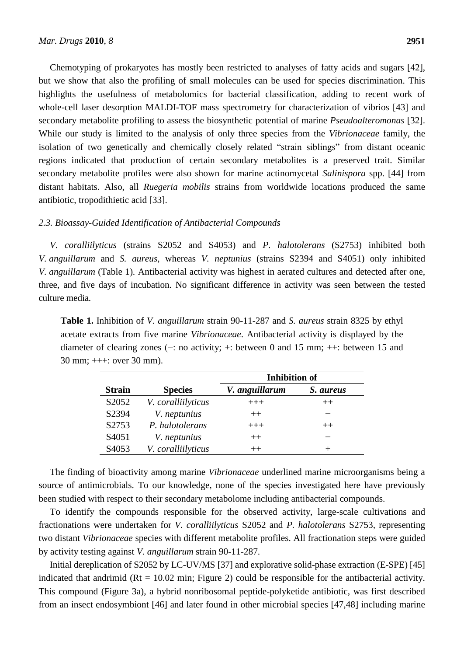Chemotyping of prokaryotes has mostly been restricted to analyses of fatty acids and sugars [42], but we show that also the profiling of small molecules can be used for species discrimination. This highlights the usefulness of metabolomics for bacterial classification, adding to recent work of whole-cell laser desorption MALDI-TOF mass spectrometry for characterization of vibrios [43] and secondary metabolite profiling to assess the biosynthetic potential of marine *Pseudoalteromonas* [32]. While our study is limited to the analysis of only three species from the *Vibrionaceae* family, the isolation of two genetically and chemically closely related "strain siblings" from distant oceanic regions indicated that production of certain secondary metabolites is a preserved trait. Similar secondary metabolite profiles were also shown for marine actinomycetal *Salinispora* spp. [44] from distant habitats. Also, all *Ruegeria mobilis* strains from worldwide locations produced the same antibiotic, tropodithietic acid [33].

# *2.3. Bioassay-Guided Identification of Antibacterial Compounds*

*V. coralliilyticus* (strains S2052 and S4053) and *P. halotolerans* (S2753) inhibited both *V. anguillarum* and *S. aureus*, whereas *V. neptunius* (strains S2394 and S4051) only inhibited *V. anguillarum* (Table 1)*.* Antibacterial activity was highest in aerated cultures and detected after one, three, and five days of incubation. No significant difference in activity was seen between the tested culture media.

**Table 1.** Inhibition of *V. anguillarum* strain 90-11-287 and *S. aureus* strain 8325 by ethyl acetate extracts from five marine *Vibrionaceae*. Antibacterial activity is displayed by the diameter of clearing zones (−: no activity; +: between 0 and 15 mm; ++: between 15 and 30 mm; +++: over 30 mm).

|                    |                    | <b>Inhibition of</b> |           |
|--------------------|--------------------|----------------------|-----------|
| <b>Strain</b>      | <b>Species</b>     | V. anguillarum       | S. aureus |
| S2052              | V. coralliilyticus | $+++$                | $^{++}$   |
| S2394              | V. neptunius       | $++$                 |           |
| S2753              | P. halotolerans    | $+++$                | $^{++}$   |
| S <sub>4</sub> 051 | V. neptunius       | $^{++}$              |           |
| S <sub>4</sub> 053 | V. coralliilyticus | $^{++}$              | $^+$      |

The finding of bioactivity among marine *Vibrionaceae* underlined marine microorganisms being a source of antimicrobials. To our knowledge, none of the species investigated here have previously been studied with respect to their secondary metabolome including antibacterial compounds.

To identify the compounds responsible for the observed activity, large-scale cultivations and fractionations were undertaken for *V. coralliilyticus* S2052 and *P. halotolerans* S2753, representing two distant *Vibrionaceae* species with different metabolite profiles. All fractionation steps were guided by activity testing against *V. anguillarum* strain 90-11-287.

Initial dereplication of S2052 by LC-UV/MS [37] and explorative solid-phase extraction (E-SPE) [45] indicated that andrimid ( $Rt = 10.02$  min; Figure 2) could be responsible for the antibacterial activity. This compound (Figure 3a), a hybrid nonribosomal peptide-polyketide antibiotic, was first described from an insect endosymbiont [46] and later found in other microbial species [47,48] including marine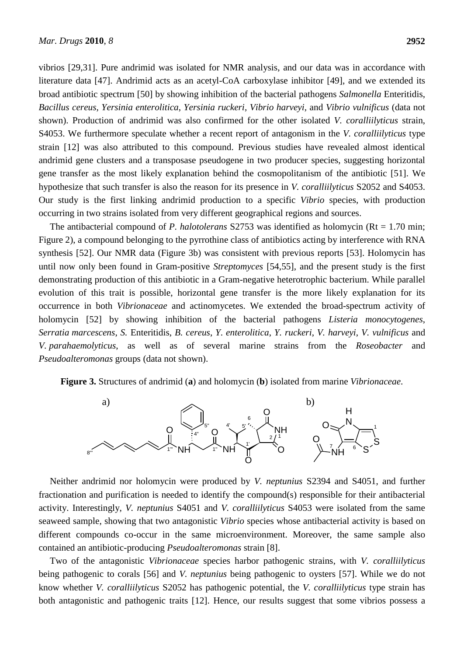vibrios [29,31]. Pure andrimid was isolated for NMR analysis, and our data was in accordance with literature data [47]. Andrimid acts as an acetyl-CoA carboxylase inhibitor [49], and we extended its broad antibiotic spectrum [50] by showing inhibition of the bacterial pathogens *Salmonella* Enteritidis, *Bacillus cereus*, *Yersinia enterolitica*, *Yersinia ruckeri*, *Vibrio harveyi*, and *Vibrio vulnificus* (data not shown). Production of andrimid was also confirmed for the other isolated *V. coralliilyticus* strain, S4053. We furthermore speculate whether a recent report of antagonism in the *V. coralliilyticus* type strain [12] was also attributed to this compound. Previous studies have revealed almost identical andrimid gene clusters and a transposase pseudogene in two producer species, suggesting horizontal gene transfer as the most likely explanation behind the cosmopolitanism of the antibiotic [51]. We hypothesize that such transfer is also the reason for its presence in *V. coralliilyticus* S2052 and S4053. Our study is the first linking andrimid production to a specific *Vibrio* species, with production occurring in two strains isolated from very different geographical regions and sources.

The antibacterial compound of *P. halotolerans* S2753 was identified as holomycin (Rt = 1.70 min; Figure 2), a compound belonging to the pyrrothine class of antibiotics acting by interference with RNA synthesis [52]. Our NMR data (Figure 3b) was consistent with previous reports [53]. Holomycin has until now only been found in Gram-positive *Streptomyces* [54,55], and the present study is the first demonstrating production of this antibiotic in a Gram-negative heterotrophic bacterium. While parallel evolution of this trait is possible, horizontal gene transfer is the more likely explanation for its occurrence in both *Vibrionaceae* and actinomycetes. We extended the broad-spectrum activity of holomycin [52] by showing inhibition of the bacterial pathogens *Listeria monocytogenes*, *Serratia marcescens*, *S.* Enteritidis, *B. cereus*, *Y. enterolitica*, *Y. ruckeri*, *V. harveyi*, *V. vulnificus* and *V. parahaemolyticus*, as well as of several marine strains from the *Roseobacter* and *Pseudoalteromonas* groups (data not shown).

**Figure 3.** Structures of andrimid (**a**) and holomycin (**b**) isolated from marine *Vibrionaceae*.



Neither andrimid nor holomycin were produced by *V. neptunius* S2394 and S4051, and further fractionation and purification is needed to identify the compound(s) responsible for their antibacterial activity. Interestingly, *V. neptunius* S4051 and *V. coralliilyticus* S4053 were isolated from the same seaweed sample, showing that two antagonistic *Vibrio* species whose antibacterial activity is based on different compounds co-occur in the same microenvironment. Moreover, the same sample also contained an antibiotic-producing *Pseudoalteromonas* strain [8].

Two of the antagonistic *Vibrionaceae* species harbor pathogenic strains, with *V. coralliilyticus* being pathogenic to corals [56] and *V. neptunius* being pathogenic to oysters [57]. While we do not know whether *V. coralliilyticus* S2052 has pathogenic potential, the *V. coralliilyticus* type strain has both antagonistic and pathogenic traits [12]. Hence, our results suggest that some vibrios possess a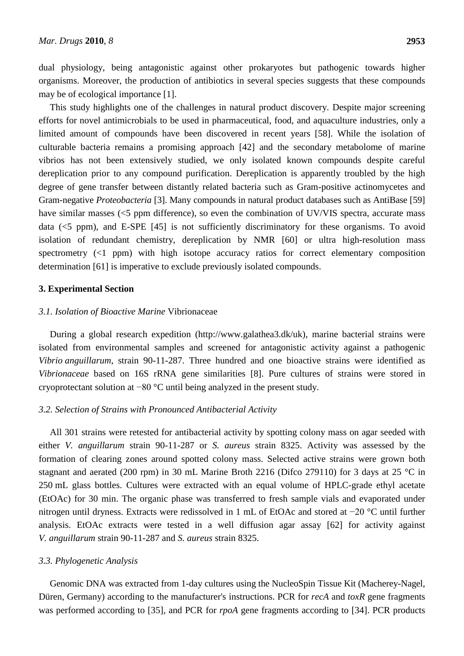dual physiology, being antagonistic against other prokaryotes but pathogenic towards higher organisms. Moreover, the production of antibiotics in several species suggests that these compounds may be of ecological importance [1].

This study highlights one of the challenges in natural product discovery. Despite major screening efforts for novel antimicrobials to be used in pharmaceutical, food, and aquaculture industries, only a limited amount of compounds have been discovered in recent years [58]. While the isolation of culturable bacteria remains a promising approach [42] and the secondary metabolome of marine vibrios has not been extensively studied, we only isolated known compounds despite careful dereplication prior to any compound purification. Dereplication is apparently troubled by the high degree of gene transfer between distantly related bacteria such as Gram-positive actinomycetes and Gram-negative *Proteobacteria* [3]. Many compounds in natural product databases such as AntiBase [59] have similar masses (<5 ppm difference), so even the combination of UV/VIS spectra, accurate mass data (<5 ppm), and E-SPE [45] is not sufficiently discriminatory for these organisms. To avoid isolation of redundant chemistry, dereplication by NMR [60] or ultra high-resolution mass spectrometry (<1 ppm) with high isotope accuracy ratios for correct elementary composition determination [61] is imperative to exclude previously isolated compounds.

# **3. Experimental Section**

### *3.1. Isolation of Bioactive Marine* Vibrionaceae

During a global research expedition (http://www.galathea3.dk/uk), marine bacterial strains were isolated from environmental samples and screened for antagonistic activity against a pathogenic *Vibrio anguillarum*, strain 90-11-287. Three hundred and one bioactive strains were identified as *Vibrionaceae* based on 16S rRNA gene similarities [8]. Pure cultures of strains were stored in cryoprotectant solution at −80 °C until being analyzed in the present study.

#### *3.2. Selection of Strains with Pronounced Antibacterial Activity*

All 301 strains were retested for antibacterial activity by spotting colony mass on agar seeded with either *V. anguillarum* strain 90-11-287 or *S. aureus* strain 8325. Activity was assessed by the formation of clearing zones around spotted colony mass. Selected active strains were grown both stagnant and aerated (200 rpm) in 30 mL Marine Broth 2216 (Difco 279110) for 3 days at 25 °C in 250 mL glass bottles. Cultures were extracted with an equal volume of HPLC-grade ethyl acetate (EtOAc) for 30 min. The organic phase was transferred to fresh sample vials and evaporated under nitrogen until dryness. Extracts were redissolved in 1 mL of EtOAc and stored at −20 °C until further analysis. EtOAc extracts were tested in a well diffusion agar assay [62] for activity against *V. anguillarum* strain 90-11-287 and *S. aureus* strain 8325.

## *3.3. Phylogenetic Analysis*

Genomic DNA was extracted from 1-day cultures using the NucleoSpin Tissue Kit (Macherey-Nagel, Düren, Germany) according to the manufacturer's instructions. PCR for *recA* and *toxR* gene fragments was performed according to [35], and PCR for *rpoA* gene fragments according to [34]. PCR products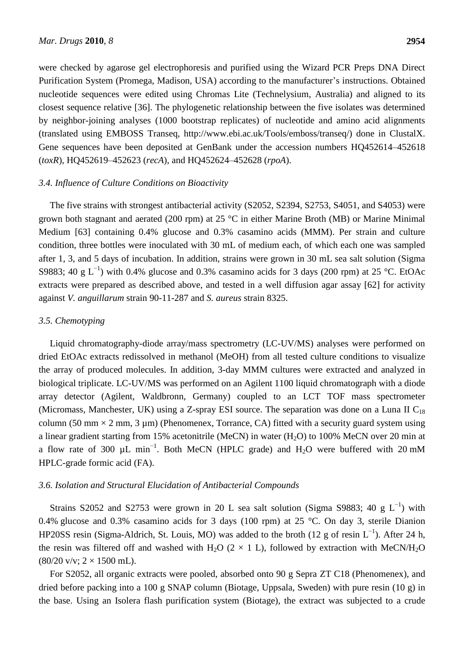were checked by agarose gel electrophoresis and purified using the Wizard PCR Preps DNA Direct Purification System (Promega, Madison, USA) according to the manufacturer's instructions. Obtained nucleotide sequences were edited using Chromas Lite (Technelysium, Australia) and aligned to its closest sequence relative [36]. The phylogenetic relationship between the five isolates was determined by neighbor-joining analyses (1000 bootstrap replicates) of nucleotide and amino acid alignments (translated using EMBOSS Transeq, http://www.ebi.ac.uk/Tools/emboss/transeq/) done in ClustalX. Gene sequences have been deposited at GenBank under the accession numbers HQ452614–452618 (*toxR*), HQ452619–452623 (*recA*), and HQ452624–452628 (*rpoA*).

# *3.4. Influence of Culture Conditions on Bioactivity*

The five strains with strongest antibacterial activity (S2052, S2394, S2753, S4051, and S4053) were grown both stagnant and aerated (200 rpm) at 25 °C in either Marine Broth (MB) or Marine Minimal Medium [63] containing 0.4% glucose and 0.3% casamino acids (MMM). Per strain and culture condition, three bottles were inoculated with 30 mL of medium each, of which each one was sampled after 1, 3, and 5 days of incubation. In addition, strains were grown in 30 mL sea salt solution (Sigma S9883; 40 g L<sup>-1</sup>) with 0.4% glucose and 0.3% casamino acids for 3 days (200 rpm) at 25 °C. EtOAc extracts were prepared as described above, and tested in a well diffusion agar assay [62] for activity against *V. anguillarum* strain 90-11-287 and *S. aureus* strain 8325.

## *3.5. Chemotyping*

Liquid chromatography-diode array/mass spectrometry (LC-UV/MS) analyses were performed on dried EtOAc extracts redissolved in methanol (MeOH) from all tested culture conditions to visualize the array of produced molecules. In addition, 3-day MMM cultures were extracted and analyzed in biological triplicate. LC-UV/MS was performed on an Agilent 1100 liquid chromatograph with a diode array detector (Agilent, Waldbronn, Germany) coupled to an LCT TOF mass spectrometer (Micromass, Manchester, UK) using a Z-spray ESI source. The separation was done on a Luna II  $C_{18}$ column (50 mm  $\times$  2 mm, 3 µm) (Phenomenex, Torrance, CA) fitted with a security guard system using a linear gradient starting from 15% acetonitrile (MeCN) in water (H<sub>2</sub>O) to 100% MeCN over 20 min at a flow rate of 300  $\mu$ L min<sup>-1</sup>. Both MeCN (HPLC grade) and H<sub>2</sub>O were buffered with 20 mM HPLC-grade formic acid (FA).

#### *3.6. Isolation and Structural Elucidation of Antibacterial Compounds*

Strains S2052 and S2753 were grown in 20 L sea salt solution (Sigma S9883; 40 g  $L^{-1}$ ) with 0.4% glucose and 0.3% casamino acids for 3 days (100 rpm) at 25 °C. On day 3, sterile Dianion HP20SS resin (Sigma-Aldrich, St. Louis, MO) was added to the broth (12 g of resin  $L^{-1}$ ). After 24 h, the resin was filtered off and washed with H<sub>2</sub>O (2  $\times$  1 L), followed by extraction with MeCN/H<sub>2</sub>O  $(80/20 \text{ v/v}; 2 \times 1500 \text{ mL}).$ 

For S2052, all organic extracts were pooled, absorbed onto 90 g Sepra ZT C18 (Phenomenex), and dried before packing into a 100 g SNAP column (Biotage, Uppsala, Sweden) with pure resin (10 g) in the base. Using an Isolera flash purification system (Biotage), the extract was subjected to a crude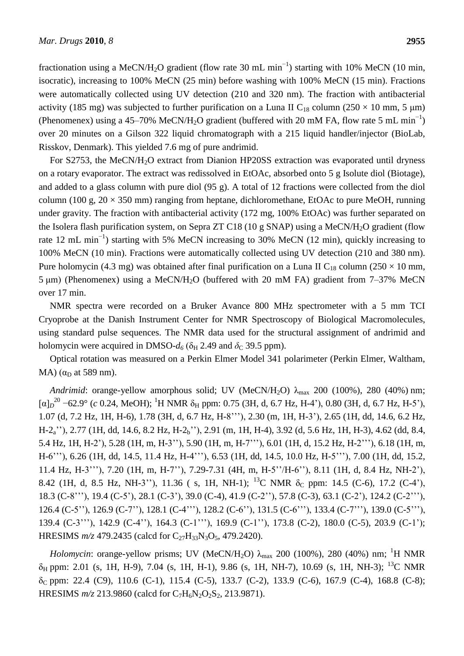fractionation using a MeCN/H<sub>2</sub>O gradient (flow rate 30 mL min<sup>-1</sup>) starting with 10% MeCN (10 min, isocratic), increasing to 100% MeCN (25 min) before washing with 100% MeCN (15 min). Fractions were automatically collected using UV detection (210 and 320 nm). The fraction with antibacterial activity (185 mg) was subjected to further purification on a Luna II C<sub>18</sub> column (250  $\times$  10 mm, 5 µm) (Phenomenex) using a 45–70% MeCN/H<sub>2</sub>O gradient (buffered with 20 mM FA, flow rate 5 mL min<sup>-1</sup>) over 20 minutes on a Gilson 322 liquid chromatograph with a 215 liquid handler/injector (BioLab, Risskov, Denmark). This yielded 7.6 mg of pure andrimid.

For S2753, the MeCN/H<sub>2</sub>O extract from Dianion HP20SS extraction was evaporated until dryness on a rotary evaporator. The extract was redissolved in EtOAc, absorbed onto 5 g Isolute diol (Biotage), and added to a glass column with pure diol (95 g). A total of 12 fractions were collected from the diol column (100 g,  $20 \times 350$  mm) ranging from heptane, dichloromethane, EtOAc to pure MeOH, running under gravity. The fraction with antibacterial activity (172 mg, 100% EtOAc) was further separated on the Isolera flash purification system, on Sepra ZT C18 (10 g SNAP) using a MeCN/H<sub>2</sub>O gradient (flow rate 12 mL min<sup>-1</sup>) starting with 5% MeCN increasing to 30% MeCN (12 min), quickly increasing to 100% MeCN (10 min). Fractions were automatically collected using UV detection (210 and 380 nm). Pure holomycin (4.3 mg) was obtained after final purification on a Luna II C<sub>18</sub> column (250  $\times$  10 mm, 5 μm) (Phenomenex) using a MeCN/H2O (buffered with 20 mM FA) gradient from 7–37% MeCN over 17 min.

NMR spectra were recorded on a Bruker Avance 800 MHz spectrometer with a 5 mm TCI Cryoprobe at the Danish Instrument Center for NMR Spectroscopy of Biological Macromolecules, using standard pulse sequences. The NMR data used for the structural assignment of andrimid and holomycin were acquired in DMSO- $d_6$  ( $\delta_H$  2.49 and  $\delta_C$  39.5 ppm).

Optical rotation was measured on a Perkin Elmer Model 341 polarimeter (Perkin Elmer, Waltham, MA) ( $\alpha_D$  at 589 nm).

*Andrimid*: orange-yellow amorphous solid; UV (MeCN/H<sub>2</sub>O)  $\lambda_{\text{max}}$  200 (100%), 280 (40%) nm;  $[\alpha]_D^{20}$  –62.9 ° (*c* 0.24, MeOH); <sup>1</sup>H NMR  $\delta_H$  ppm: 0.75 (3H, d, 6.7 Hz, H-4'), 0.80 (3H, d, 6.7 Hz, H-5'), 1.07 (d, 7.2 Hz, 1H, H-6), 1.78 (3H, d, 6.7 Hz, H-8'''), 2.30 (m, 1H, H-3'), 2.65 (1H, dd, 14.6, 6.2 Hz, H-2a''), 2.77 (1H, dd, 14.6, 8.2 Hz, H-2b''), 2.91 (m, 1H, H-4), 3.92 (d, 5.6 Hz, 1H, H-3), 4.62 (dd, 8.4, 5.4 Hz, 1H, H-2'), 5.28 (1H, m, H-3''), 5.90 (1H, m, H-7'''), 6.01 (1H, d, 15.2 Hz, H-2'''), 6.18 (1H, m, H-6'''), 6.26 (1H, dd, 14.5, 11.4 Hz, H-4'''), 6.53 (1H, dd, 14.5, 10.0 Hz, H-5'''), 7.00 (1H, dd, 15.2, 11.4 Hz, H-3'''), 7.20 (1H, m, H-7''), 7.29-7.31 (4H, m, H-5''/H-6''), 8.11 (1H, d, 8.4 Hz, NH-2'), 8.42 (1H, d, 8.5 Hz, NH-3''), 11.36 (s, 1H, NH-1); <sup>13</sup>C NMR  $\delta$ <sub>C</sub> ppm: 14.5 (C-6), 17.2 (C-4'), 18.3 (C-8'''), 19.4 (C-5'), 28.1 (C-3'), 39.0 (C-4), 41.9 (C-2''), 57.8 (C-3), 63.1 (C-2'), 124.2 (C-2'''), 126.4 (C-5''), 126.9 (C-7''), 128.1 (C-4'''), 128.2 (C-6''), 131.5 (C-6'''), 133.4 (C-7'''), 139.0 (C-5'''), 139.4 (C-3'''), 142.9 (C-4''), 164.3 (C-1'''), 169.9 (C-1''), 173.8 (C-2), 180.0 (C-5), 203.9 (C-1'); HRESIMS  $m/z$  479.2435 (calcd for C<sub>27</sub>H<sub>33</sub>N<sub>3</sub>O<sub>5</sub>, 479.2420).

*Holomycin*: orange-yellow prisms; UV (MeCN/H<sub>2</sub>O)  $\lambda_{\text{max}}$  200 (100%), 280 (40%) nm; <sup>1</sup>H NMR δ<sup>H</sup> ppm: 2.01 (s, 1H, H-9), 7.04 (s, 1H, H-1), 9.86 (s, 1H, NH-7), 10.69 (s, 1H, NH-3); <sup>13</sup>C NMR δ<sup>C</sup> ppm: 22.4 (C9), 110.6 (C-1), 115.4 (C-5), 133.7 (C-2), 133.9 (C-6), 167.9 (C-4), 168.8 (C-8); HRESIMS  $m/z$  213.9860 (calcd for C<sub>7</sub>H<sub>6</sub>N<sub>2</sub>O<sub>2</sub>S<sub>2</sub>, 213.9871).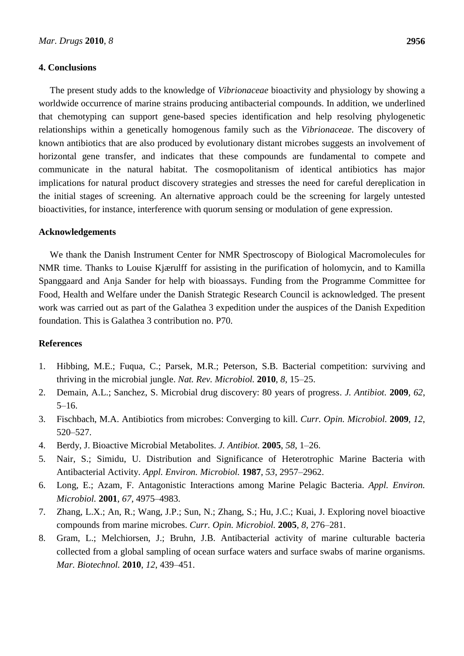# **4. Conclusions**

The present study adds to the knowledge of *Vibrionaceae* bioactivity and physiology by showing a worldwide occurrence of marine strains producing antibacterial compounds. In addition, we underlined that chemotyping can support gene-based species identification and help resolving phylogenetic relationships within a genetically homogenous family such as the *Vibrionaceae*. The discovery of known antibiotics that are also produced by evolutionary distant microbes suggests an involvement of horizontal gene transfer, and indicates that these compounds are fundamental to compete and communicate in the natural habitat. The cosmopolitanism of identical antibiotics has major implications for natural product discovery strategies and stresses the need for careful dereplication in the initial stages of screening. An alternative approach could be the screening for largely untested bioactivities, for instance, interference with quorum sensing or modulation of gene expression.

# **Acknowledgements**

We thank the Danish Instrument Center for NMR Spectroscopy of Biological Macromolecules for NMR time. Thanks to Louise Kjærulff for assisting in the purification of holomycin, and to Kamilla Spanggaard and Anja Sander for help with bioassays. Funding from the Programme Committee for Food, Health and Welfare under the Danish Strategic Research Council is acknowledged. The present work was carried out as part of the Galathea 3 expedition under the auspices of the Danish Expedition foundation. This is Galathea 3 contribution no. P70.

# **References**

- 1. Hibbing, M.E.; Fuqua, C.; Parsek, M.R.; Peterson, S.B. Bacterial competition: surviving and thriving in the microbial jungle. *Nat. Rev. Microbiol.* **2010**, *8*, 15–25.
- 2. Demain, A.L.; Sanchez, S. Microbial drug discovery: 80 years of progress. *J. Antibiot.* **2009**, *62*, 5–16.
- 3. Fischbach, M.A. Antibiotics from microbes: Converging to kill. *Curr. Opin. Microbiol.* **2009**, *12*, 520–527.
- 4. Berdy, J. Bioactive Microbial Metabolites. *J. Antibiot.* **2005**, *58*, 1–26.
- 5. Nair, S.; Simidu, U. Distribution and Significance of Heterotrophic Marine Bacteria with Antibacterial Activity. *Appl. Environ. Microbiol.* **1987**, *53*, 2957–2962.
- 6. Long, E.; Azam, F. Antagonistic Interactions among Marine Pelagic Bacteria. *Appl. Environ. Microbiol.* **2001**, *67*, 4975–4983.
- 7. Zhang, L.X.; An, R.; Wang, J.P.; Sun, N.; Zhang, S.; Hu, J.C.; Kuai, J. Exploring novel bioactive compounds from marine microbes. *Curr. Opin. Microbiol.* **2005**, *8*, 276–281.
- 8. Gram, L.; Melchiorsen, J.; Bruhn, J.B. Antibacterial activity of marine culturable bacteria collected from a global sampling of ocean surface waters and surface swabs of marine organisms. *Mar. Biotechnol.* **2010**, *12*, 439–451.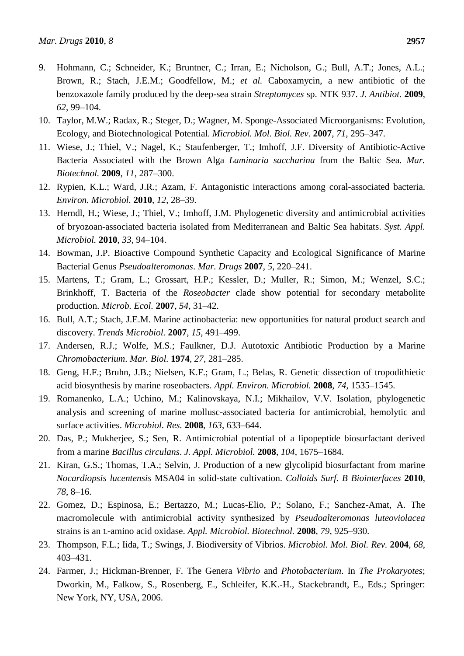- 9. Hohmann, C.; Schneider, K.; Bruntner, C.; Irran, E.; Nicholson, G.; Bull, A.T.; Jones, A.L.; Brown, R.; Stach, J.E.M.; Goodfellow, M.; *et al.* Caboxamycin, a new antibiotic of the benzoxazole family produced by the deep-sea strain *Streptomyces* sp. NTK 937. *J. Antibiot.* **2009**, *62*, 99–104.
- 10. Taylor, M.W.; Radax, R.; Steger, D.; Wagner, M. Sponge-Associated Microorganisms: Evolution, Ecology, and Biotechnological Potential. *Microbiol. Mol. Biol. Rev.* **2007**, *71*, 295–347.
- 11. Wiese, J.; Thiel, V.; Nagel, K.; Staufenberger, T.; Imhoff, J.F. Diversity of Antibiotic-Active Bacteria Associated with the Brown Alga *Laminaria saccharina* from the Baltic Sea. *Mar. Biotechnol.* **2009**, *11*, 287–300.
- 12. Rypien, K.L.; Ward, J.R.; Azam, F. Antagonistic interactions among coral-associated bacteria. *Environ. Microbiol.* **2010**, *12*, 28–39.
- 13. Herndl, H.; Wiese, J.; Thiel, V.; Imhoff, J.M. Phylogenetic diversity and antimicrobial activities of bryozoan-associated bacteria isolated from Mediterranean and Baltic Sea habitats. *Syst. Appl. Microbiol.* **2010**, *33*, 94–104.
- 14. Bowman, J.P. Bioactive Compound Synthetic Capacity and Ecological Significance of Marine Bacterial Genus *Pseudoalteromonas*. *Mar. Drugs* **2007**, *5*, 220–241.
- 15. Martens, T.; Gram, L.; Grossart, H.P.; Kessler, D.; Muller, R.; Simon, M.; Wenzel, S.C.; Brinkhoff, T. Bacteria of the *Roseobacter* clade show potential for secondary metabolite production. *Microb. Ecol.* **2007**, *54*, 31–42.
- 16. Bull, A.T.; Stach, J.E.M. Marine actinobacteria: new opportunities for natural product search and discovery. *Trends Microbiol.* **2007**, *15*, 491–499.
- 17. Andersen, R.J.; Wolfe, M.S.; Faulkner, D.J. Autotoxic Antibiotic Production by a Marine *Chromobacterium*. *Mar. Biol.* **1974**, *27*, 281–285.
- 18. Geng, H.F.; Bruhn, J.B.; Nielsen, K.F.; Gram, L.; Belas, R. Genetic dissection of tropodithietic acid biosynthesis by marine roseobacters. *Appl. Environ. Microbiol.* **2008**, *74*, 1535–1545.
- 19. Romanenko, L.A.; Uchino, M.; Kalinovskaya, N.I.; Mikhailov, V.V. Isolation, phylogenetic analysis and screening of marine mollusc-associated bacteria for antimicrobial, hemolytic and surface activities. *Microbiol. Res.* **2008**, *163*, 633–644.
- 20. Das, P.; Mukherjee, S.; Sen, R. Antimicrobial potential of a lipopeptide biosurfactant derived from a marine *Bacillus circulans*. *J. Appl. Microbiol.* **2008**, *104*, 1675–1684.
- 21. Kiran, G.S.; Thomas, T.A.; Selvin, J. Production of a new glycolipid biosurfactant from marine *Nocardiopsis lucentensis* MSA04 in solid-state cultivation. *Colloids Surf. B Biointerfaces* **2010**, *78*, 8–16.
- 22. Gomez, D.; Espinosa, E.; Bertazzo, M.; Lucas-Elio, P.; Solano, F.; Sanchez-Amat, A. The macromolecule with antimicrobial activity synthesized by *Pseudoalteromonas luteoviolacea* strains is an L-amino acid oxidase. *Appl. Microbiol. Biotechnol.* **2008**, *79*, 925–930.
- 23. Thompson, F.L.; Iida, T.; Swings, J. Biodiversity of Vibrios. *Microbiol. Mol. Biol. Rev.* **2004**, *68*, 403–431.
- 24. Farmer, J.; Hickman-Brenner, F. The Genera *Vibrio* and *Photobacterium*. In *The Prokaryotes*; Dworkin, M., Falkow, S., Rosenberg, E., Schleifer, K.K.-H., Stackebrandt, E., Eds.; Springer: New York, NY, USA, 2006.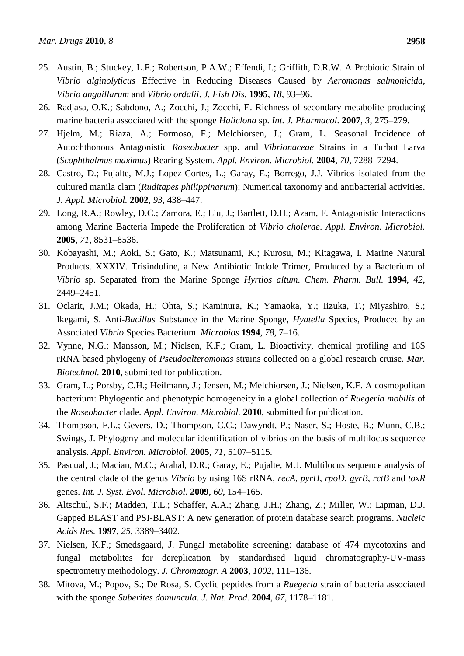- 25. Austin, B.; Stuckey, L.F.; Robertson, P.A.W.; Effendi, I.; Griffith, D.R.W. A Probiotic Strain of *Vibrio alginolyticus* Effective in Reducing Diseases Caused by *Aeromonas salmonicida*, *Vibrio anguillarum* and *Vibrio ordalii*. *J. Fish Dis.* **1995**, *18*, 93–96.
- 26. Radjasa, O.K.; Sabdono, A.; Zocchi, J.; Zocchi, E. Richness of secondary metabolite-producing marine bacteria associated with the sponge *Haliclona* sp. *Int. J. Pharmacol.* **2007**, *3*, 275–279.
- 27. Hjelm, M.; Riaza, A.; Formoso, F.; Melchiorsen, J.; Gram, L. Seasonal Incidence of Autochthonous Antagonistic *Roseobacter* spp. and *Vibrionaceae* Strains in a Turbot Larva (*Scophthalmus maximus*) Rearing System. *Appl. Environ. Microbiol.* **2004**, *70*, 7288–7294.
- 28. Castro, D.; Pujalte, M.J.; Lopez-Cortes, L.; Garay, E.; Borrego, J.J. Vibrios isolated from the cultured manila clam (*Ruditapes philippinarum*): Numerical taxonomy and antibacterial activities. *J. Appl. Microbiol.* **2002**, *93*, 438–447.
- 29. Long, R.A.; Rowley, D.C.; Zamora, E.; Liu, J.; Bartlett, D.H.; Azam, F. Antagonistic Interactions among Marine Bacteria Impede the Proliferation of *Vibrio cholerae*. *Appl. Environ. Microbiol.* **2005**, *71*, 8531–8536.
- 30. Kobayashi, M.; Aoki, S.; Gato, K.; Matsunami, K.; Kurosu, M.; Kitagawa, I. Marine Natural Products. XXXIV. Trisindoline, a New Antibiotic Indole Trimer, Produced by a Bacterium of *Vibrio* sp. Separated from the Marine Sponge *Hyrtios altum*. *Chem. Pharm. Bull.* **1994**, *42*, 2449–2451.
- 31. Oclarit, J.M.; Okada, H.; Ohta, S.; Kaminura, K.; Yamaoka, Y.; Iizuka, T.; Miyashiro, S.; Ikegami, S. Anti-*Bacillus* Substance in the Marine Sponge, *Hyatella* Species, Produced by an Associated *Vibrio* Species Bacterium. *Microbios* **1994**, *78*, 7–16.
- 32. Vynne, N.G.; Mansson, M.; Nielsen, K.F.; Gram, L. Bioactivity, chemical profiling and 16S rRNA based phylogeny of *Pseudoalteromonas* strains collected on a global research cruise. *Mar. Biotechnol.* **2010**, submitted for publication.
- 33. Gram, L.; Porsby, C.H.; Heilmann, J.; Jensen, M.; Melchiorsen, J.; Nielsen, K.F. A cosmopolitan bacterium: Phylogentic and phenotypic homogeneity in a global collection of *Ruegeria mobilis* of the *Roseobacter* clade. *Appl. Environ. Microbiol.* **2010**, submitted for publication.
- 34. Thompson, F.L.; Gevers, D.; Thompson, C.C.; Dawyndt, P.; Naser, S.; Hoste, B.; Munn, C.B.; Swings, J. Phylogeny and molecular identification of vibrios on the basis of multilocus sequence analysis. *Appl. Environ. Microbiol.* **2005**, *71*, 5107–5115.
- 35. Pascual, J.; Macian, M.C.; Arahal, D.R.; Garay, E.; Pujalte, M.J. Multilocus sequence analysis of the central clade of the genus *Vibrio* by using 16S rRNA, *recA*, *pyrH*, *rpoD*, *gyrB*, *rctB* and *toxR* genes. *Int. J. Syst. Evol. Microbiol.* **2009**, *60*, 154–165.
- 36. Altschul, S.F.; Madden, T.L.; Schaffer, A.A.; Zhang, J.H.; Zhang, Z.; Miller, W.; Lipman, D.J. Gapped BLAST and PSI-BLAST: A new generation of protein database search programs. *Nucleic Acids Res.* **1997**, *25*, 3389–3402.
- 37. Nielsen, K.F.; Smedsgaard, J. Fungal metabolite screening: database of 474 mycotoxins and fungal metabolites for dereplication by standardised liquid chromatography-UV-mass spectrometry methodology. *J. Chromatogr. A* **2003**, *1002*, 111–136.
- 38. Mitova, M.; Popov, S.; De Rosa, S. Cyclic peptides from a *Ruegeria* strain of bacteria associated with the sponge *Suberites domuncula*. *J. Nat. Prod.* **2004**, *67*, 1178–1181.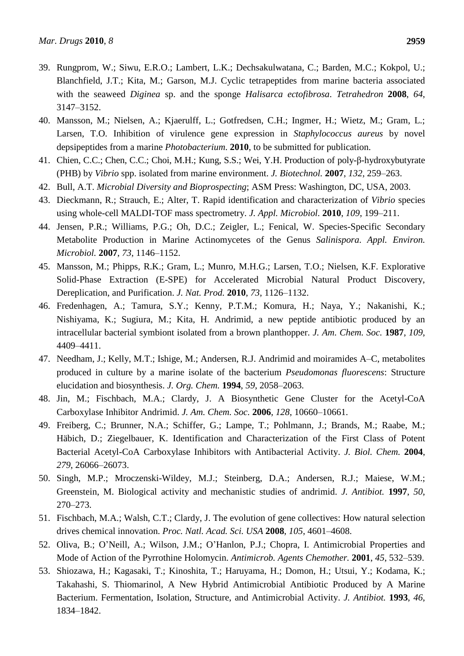- 39. Rungprom, W.; Siwu, E.R.O.; Lambert, L.K.; Dechsakulwatana, C.; Barden, M.C.; Kokpol, U.; Blanchfield, J.T.; Kita, M.; Garson, M.J. Cyclic tetrapeptides from marine bacteria associated with the seaweed *Diginea* sp. and the sponge *Halisarca ectofibrosa*. *Tetrahedron* **2008**, *64*, 3147–3152.
- 40. Mansson, M.; Nielsen, A.; Kjaerulff, L.; Gotfredsen, C.H.; Ingmer, H.; Wietz, M.; Gram, L.; Larsen, T.O. Inhibition of virulence gene expression in *Staphylococcus aureus* by novel depsipeptides from a marine *Photobacterium*. **2010**, to be submitted for publication.
- 41. Chien, C.C.; Chen, C.C.; Choi, M.H.; Kung, S.S.; Wei, Y.H. Production of poly-β-hydroxybutyrate (PHB) by *Vibrio* spp. isolated from marine environment. *J. Biotechnol.* **2007**, *132*, 259–263.
- 42. Bull, A.T. *Microbial Diversity and Bioprospecting*; ASM Press: Washington, DC, USA, 2003.
- 43. Dieckmann, R.; Strauch, E.; Alter, T. Rapid identification and characterization of *Vibrio* species using whole-cell MALDI-TOF mass spectrometry. *J. Appl. Microbiol.* **2010**, *109*, 199–211.
- 44. Jensen, P.R.; Williams, P.G.; Oh, D.C.; Zeigler, L.; Fenical, W. Species-Specific Secondary Metabolite Production in Marine Actinomycetes of the Genus *Salinispora*. *Appl. Environ. Microbiol.* **2007**, *73*, 1146–1152.
- 45. Mansson, M.; Phipps, R.K.; Gram, L.; Munro, M.H.G.; Larsen, T.O.; Nielsen, K.F. Explorative Solid-Phase Extraction (E-SPE) for Accelerated Microbial Natural Product Discovery, Dereplication, and Purification. *J. Nat. Prod.* **2010**, *73*, 1126–1132.
- 46. Fredenhagen, A.; Tamura, S.Y.; Kenny, P.T.M.; Komura, H.; Naya, Y.; Nakanishi, K.; Nishiyama, K.; Sugiura, M.; Kita, H. Andrimid, a new peptide antibiotic produced by an intracellular bacterial symbiont isolated from a brown planthopper. *J. Am. Chem. Soc.* **1987**, *109*, 4409–4411.
- 47. Needham, J.; Kelly, M.T.; Ishige, M.; Andersen, R.J. Andrimid and moiramides A–C, metabolites produced in culture by a marine isolate of the bacterium *Pseudomonas fluorescens*: Structure elucidation and biosynthesis. *J. Org. Chem.* **1994**, *59*, 2058–2063.
- 48. Jin, M.; Fischbach, M.A.; Clardy, J. A Biosynthetic Gene Cluster for the Acetyl-CoA Carboxylase Inhibitor Andrimid. *J. Am. Chem. Soc.* **2006**, *128*, 10660–10661.
- 49. Freiberg, C.; Brunner, N.A.; Schiffer, G.; Lampe, T.; Pohlmann, J.; Brands, M.; Raabe, M.; Häbich, D.; Ziegelbauer, K. Identification and Characterization of the First Class of Potent Bacterial Acetyl-CoA Carboxylase Inhibitors with Antibacterial Activity. *J. Biol. Chem.* **2004**, *279*, 26066–26073.
- 50. Singh, M.P.; Mroczenski-Wildey, M.J.; Steinberg, D.A.; Andersen, R.J.; Maiese, W.M.; Greenstein, M. Biological activity and mechanistic studies of andrimid. *J. Antibiot.* **1997**, *50*, 270–273.
- 51. Fischbach, M.A.; Walsh, C.T.; Clardy, J. The evolution of gene collectives: How natural selection drives chemical innovation. *Proc. Natl. Acad. Sci. USA* **2008**, *105*, 4601–4608.
- 52. Oliva, B.; O'Neill, A.; Wilson, J.M.; O'Hanlon, P.J.; Chopra, I. Antimicrobial Properties and Mode of Action of the Pyrrothine Holomycin. *Antimicrob. Agents Chemother.* **2001**, *45*, 532–539.
- 53. Shiozawa, H.; Kagasaki, T.; Kinoshita, T.; Haruyama, H.; Domon, H.; Utsui, Y.; Kodama, K.; Takahashi, S. Thiomarinol, A New Hybrid Antimicrobial Antibiotic Produced by A Marine Bacterium. Fermentation, Isolation, Structure, and Antimicrobial Activity. *J. Antibiot.* **1993**, *46*, 1834–1842.